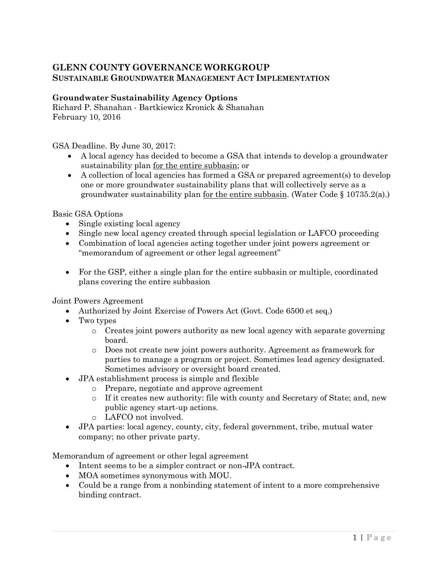## **GLENN COUNTY GOVERNANCE WORKGROUP SUSTAINABLE GROUNDWATER MANAGEMENT ACT IMPLEMENTATION**

## **Groundwater Sustainability Agency Options**

Richard P. Shanahan - Bartkiewicz Kronick & Shanahan February 10, 2016

GSA Deadline. By June 30, 2017:

- A local agency has decided to become a GSA that intends to develop a groundwater sustainability plan for the entire subbasin; or
- A collection of local agencies has formed a GSA or prepared agreement(s) to develop one or more groundwater sustainability plans that will collectively serve as a groundwater sustainability plan for the entire subbasin. (Water Code  $\S 10735.2(a)$ .)

Basic GSA Options

- Single existing local agency
- Single new local agency created through special legislation or LAFCO proceeding
- Combination of local agencies acting together under joint powers agreement or "memorandum of agreement or other legal agreement"
- For the GSP, either a single plan for the entire subbasin or multiple, coordinated plans covering the entire subbasion

Joint Powers Agreement

- Authorized by Joint Exercise of Powers Act (Govt. Code 6500 et seq.)
- Two types
	- o Creates joint powers authority as new local agency with separate governing board.
	- o Does not create new joint powers authority. Agreement as framework for parties to manage a program or project. Sometimes lead agency designated. Sometimes advisory or oversight board created.
- JPA establishment process is simple and flexible
	- o Prepare, negotiate and approve agreement
	- o If it creates new authority: file with county and Secretary of State; and, new public agency start-up actions.
	- o LAFCO not involved.
- JPA parties: local agency, county, city, federal government, tribe, mutual water company; no other private party.

Memorandum of agreement or other legal agreement

- Intent seems to be a simpler contract or non-JPA contract.
- MOA sometimes synonymous with MOU.
- Could be a range from a nonbinding statement of intent to a more comprehensive binding contract.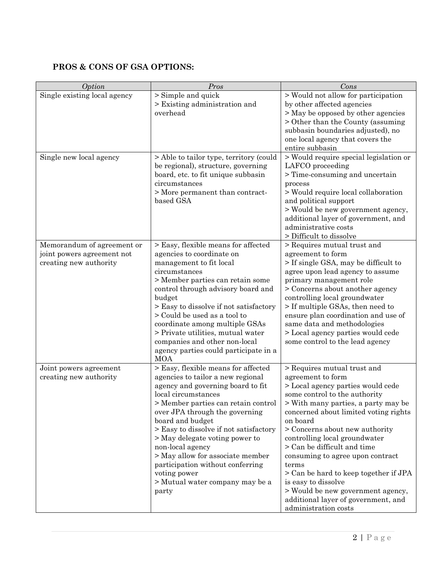## **PROS & CONS OF GSA OPTIONS:**

| Option                                                                             | Pros                                                                                                                                                                                                                                                                                                                                                                                                                                                                  | Cons                                                                                                                                                                                                                                                                                                                                                                                                                                                                                                                                  |
|------------------------------------------------------------------------------------|-----------------------------------------------------------------------------------------------------------------------------------------------------------------------------------------------------------------------------------------------------------------------------------------------------------------------------------------------------------------------------------------------------------------------------------------------------------------------|---------------------------------------------------------------------------------------------------------------------------------------------------------------------------------------------------------------------------------------------------------------------------------------------------------------------------------------------------------------------------------------------------------------------------------------------------------------------------------------------------------------------------------------|
| Single existing local agency                                                       | > Simple and quick<br>> Existing administration and<br>overhead                                                                                                                                                                                                                                                                                                                                                                                                       | > Would not allow for participation<br>by other affected agencies<br>> May be opposed by other agencies<br>> Other than the County (assuming<br>subbasin boundaries adjusted), no<br>one local agency that covers the<br>entire subbasin                                                                                                                                                                                                                                                                                              |
| Single new local agency                                                            | > Able to tailor type, territory (could<br>be regional), structure, governing<br>board, etc. to fit unique subbasin<br>circumstances<br>> More permanent than contract-<br>based GSA                                                                                                                                                                                                                                                                                  | > Would require special legislation or<br>LAFCO proceeding<br>> Time-consuming and uncertain<br>process<br>> Would require local collaboration<br>and political support<br>> Would be new government agency,<br>additional layer of government, and<br>administrative costs<br>> Difficult to dissolve                                                                                                                                                                                                                                |
| Memorandum of agreement or<br>joint powers agreement not<br>creating new authority | > Easy, flexible means for affected<br>agencies to coordinate on<br>management to fit local<br>circumstances<br>> Member parties can retain some<br>control through advisory board and<br>budget<br>> Easy to dissolve if not satisfactory<br>> Could be used as a tool to<br>coordinate among multiple GSAs<br>> Private utilities, mutual water<br>companies and other non-local<br>agency parties could participate in a<br><b>MOA</b>                             | > Requires mutual trust and<br>agreement to form<br>> If single GSA, may be difficult to<br>agree upon lead agency to assume<br>primary management role<br>> Concerns about another agency<br>controlling local groundwater<br>> If multiple GSAs, then need to<br>ensure plan coordination and use of<br>same data and methodologies<br>> Local agency parties would cede<br>some control to the lead agency                                                                                                                         |
| Joint powers agreement<br>creating new authority                                   | > Easy, flexible means for affected<br>agencies to tailor a new regional<br>agency and governing board to fit<br>local circumstances<br>> Member parties can retain control<br>over JPA through the governing<br>board and budget<br>> Easy to dissolve if not satisfactory<br>> May delegate voting power to<br>non-local agency<br>> May allow for associate member<br>participation without conferring<br>voting power<br>> Mutual water company may be a<br>party | > Requires mutual trust and<br>agreement to form<br>> Local agency parties would cede<br>some control to the authority<br>> With many parties, a party may be<br>concerned about limited voting rights<br>on board<br>> Concerns about new authority<br>controlling local groundwater<br>> Can be difficult and time<br>consuming to agree upon contract<br>terms<br>> Can be hard to keep together if JPA<br>is easy to dissolve<br>> Would be new government agency,<br>additional layer of government, and<br>administration costs |